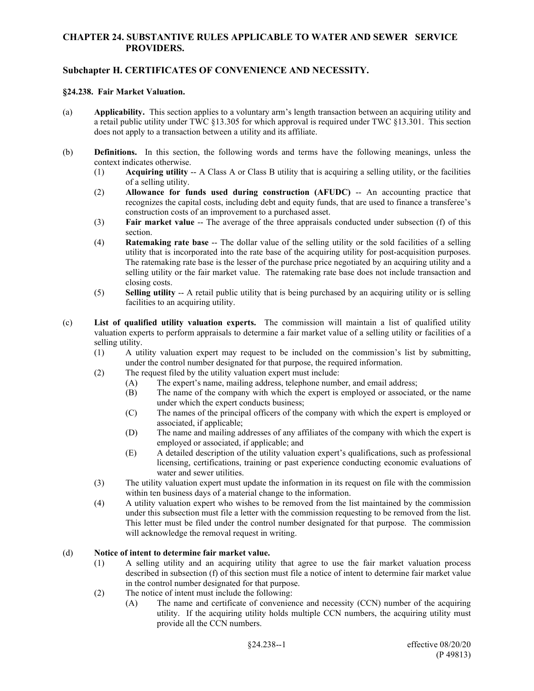## **CHAPTER 24. SUBSTANTIVE RULES APPLICABLE TO WATER AND SEWER SERVICE PROVIDERS.**

## **Subchapter H. CERTIFICATES OF CONVENIENCE AND NECESSITY.**

#### **§24.238. Fair Market Valuation.**

- (a) **Applicability.** This section applies to a voluntary arm's length transaction between an acquiring utility and a retail public utility under TWC §13.305 for which approval is required under TWC §13.301. This section does not apply to a transaction between a utility and its affiliate.
- (b) **Definitions.** In this section, the following words and terms have the following meanings, unless the context indicates otherwise.
	- (1) **Acquiring utility** -- A Class A or Class B utility that is acquiring a selling utility, or the facilities of a selling utility.
	- (2) **Allowance for funds used during construction (AFUDC)** -- An accounting practice that recognizes the capital costs, including debt and equity funds, that are used to finance a transferee's construction costs of an improvement to a purchased asset.
	- (3) **Fair market value** -- The average of the three appraisals conducted under subsection (f) of this section.
	- (4) **Ratemaking rate base** -- The dollar value of the selling utility or the sold facilities of a selling utility that is incorporated into the rate base of the acquiring utility for post-acquisition purposes. The ratemaking rate base is the lesser of the purchase price negotiated by an acquiring utility and a selling utility or the fair market value. The ratemaking rate base does not include transaction and closing costs.
	- (5) **Selling utility** -- A retail public utility that is being purchased by an acquiring utility or is selling facilities to an acquiring utility.
- (c) **List of qualified utility valuation experts.** The commission will maintain a list of qualified utility valuation experts to perform appraisals to determine a fair market value of a selling utility or facilities of a selling utility.
	- (1) A utility valuation expert may request to be included on the commission's list by submitting, under the control number designated for that purpose, the required information.
	- (2) The request filed by the utility valuation expert must include:
		- (A) The expert's name, mailing address, telephone number, and email address;
		- (B) The name of the company with which the expert is employed or associated, or the name under which the expert conducts business;
		- (C) The names of the principal officers of the company with which the expert is employed or associated, if applicable;
		- (D) The name and mailing addresses of any affiliates of the company with which the expert is employed or associated, if applicable; and
		- (E) A detailed description of the utility valuation expert's qualifications, such as professional licensing, certifications, training or past experience conducting economic evaluations of water and sewer utilities.
	- (3) The utility valuation expert must update the information in its request on file with the commission within ten business days of a material change to the information.
	- (4) A utility valuation expert who wishes to be removed from the list maintained by the commission under this subsection must file a letter with the commission requesting to be removed from the list. This letter must be filed under the control number designated for that purpose. The commission will acknowledge the removal request in writing.

## (d) **Notice of intent to determine fair market value.**

- (1) A selling utility and an acquiring utility that agree to use the fair market valuation process described in subsection (f) of this section must file a notice of intent to determine fair market value in the control number designated for that purpose.
- (2) The notice of intent must include the following:
	- (A) The name and certificate of convenience and necessity (CCN) number of the acquiring utility. If the acquiring utility holds multiple CCN numbers, the acquiring utility must provide all the CCN numbers.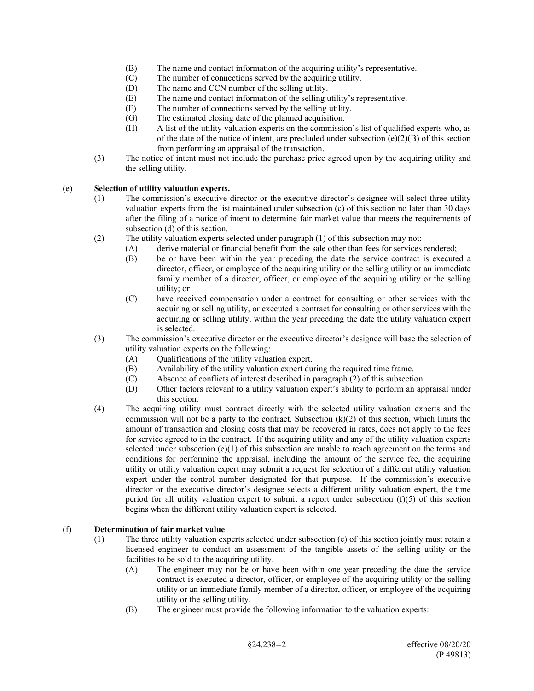- (B) The name and contact information of the acquiring utility's representative.
- (C) The number of connections served by the acquiring utility.
- (D) The name and CCN number of the selling utility.
- (E) The name and contact information of the selling utility's representative.
- (F) The number of connections served by the selling utility.
- (G) The estimated closing date of the planned acquisition.
- (H) A list of the utility valuation experts on the commission's list of qualified experts who, as of the date of the notice of intent, are precluded under subsection (e)(2)(B) of this section from performing an appraisal of the transaction.
- (3) The notice of intent must not include the purchase price agreed upon by the acquiring utility and the selling utility.

### (e) **Selection of utility valuation experts.**

- (1) The commission's executive director or the executive director's designee will select three utility valuation experts from the list maintained under subsection (c) of this section no later than 30 days after the filing of a notice of intent to determine fair market value that meets the requirements of subsection (d) of this section.
- (2) The utility valuation experts selected under paragraph (1) of this subsection may not:
	- (A) derive material or financial benefit from the sale other than fees for services rendered;
		- (B) be or have been within the year preceding the date the service contract is executed a director, officer, or employee of the acquiring utility or the selling utility or an immediate family member of a director, officer, or employee of the acquiring utility or the selling utility; or
		- (C) have received compensation under a contract for consulting or other services with the acquiring or selling utility, or executed a contract for consulting or other services with the acquiring or selling utility, within the year preceding the date the utility valuation expert is selected.
- (3) The commission's executive director or the executive director's designee will base the selection of utility valuation experts on the following:
	- (A) Qualifications of the utility valuation expert.
	- (B) Availability of the utility valuation expert during the required time frame.<br>(C) Absence of conflicts of interest described in paragraph (2) of this subsection
	- Absence of conflicts of interest described in paragraph  $(2)$  of this subsection.
	- (D) Other factors relevant to a utility valuation expert's ability to perform an appraisal under this section.
- (4) The acquiring utility must contract directly with the selected utility valuation experts and the commission will not be a party to the contract. Subsection  $(k)(2)$  of this section, which limits the amount of transaction and closing costs that may be recovered in rates, does not apply to the fees for service agreed to in the contract. If the acquiring utility and any of the utility valuation experts selected under subsection  $(e)(1)$  of this subsection are unable to reach agreement on the terms and conditions for performing the appraisal, including the amount of the service fee, the acquiring utility or utility valuation expert may submit a request for selection of a different utility valuation expert under the control number designated for that purpose. If the commission's executive director or the executive director's designee selects a different utility valuation expert, the time period for all utility valuation expert to submit a report under subsection  $(f)(5)$  of this section begins when the different utility valuation expert is selected.

### (f) **Determination of fair market value**.

- (1) The three utility valuation experts selected under subsection (e) of this section jointly must retain a licensed engineer to conduct an assessment of the tangible assets of the selling utility or the facilities to be sold to the acquiring utility.
	- (A) The engineer may not be or have been within one year preceding the date the service contract is executed a director, officer, or employee of the acquiring utility or the selling utility or an immediate family member of a director, officer, or employee of the acquiring utility or the selling utility.
	- (B) The engineer must provide the following information to the valuation experts: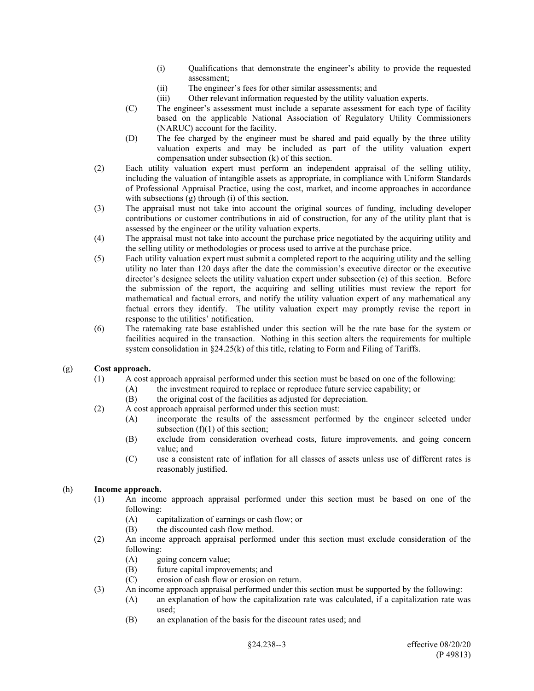- (i) Qualifications that demonstrate the engineer's ability to provide the requested assessment;
- (ii) The engineer's fees for other similar assessments; and
- (iii) Other relevant information requested by the utility valuation experts.
- (C) The engineer's assessment must include a separate assessment for each type of facility based on the applicable National Association of Regulatory Utility Commissioners (NARUC) account for the facility.
- (D) The fee charged by the engineer must be shared and paid equally by the three utility valuation experts and may be included as part of the utility valuation expert compensation under subsection (k) of this section.
- (2) Each utility valuation expert must perform an independent appraisal of the selling utility, including the valuation of intangible assets as appropriate, in compliance with Uniform Standards of Professional Appraisal Practice, using the cost, market, and income approaches in accordance with subsections (g) through (i) of this section.
- (3) The appraisal must not take into account the original sources of funding, including developer contributions or customer contributions in aid of construction, for any of the utility plant that is assessed by the engineer or the utility valuation experts.
- (4) The appraisal must not take into account the purchase price negotiated by the acquiring utility and the selling utility or methodologies or process used to arrive at the purchase price.
- (5) Each utility valuation expert must submit a completed report to the acquiring utility and the selling utility no later than 120 days after the date the commission's executive director or the executive director's designee selects the utility valuation expert under subsection (e) of this section. Before the submission of the report, the acquiring and selling utilities must review the report for mathematical and factual errors, and notify the utility valuation expert of any mathematical any factual errors they identify. The utility valuation expert may promptly revise the report in response to the utilities' notification.
- (6) The ratemaking rate base established under this section will be the rate base for the system or facilities acquired in the transaction. Nothing in this section alters the requirements for multiple system consolidation in §24.25(k) of this title, relating to Form and Filing of Tariffs.

## (g) **Cost approach.**

- (1) A cost approach appraisal performed under this section must be based on one of the following:
	- (A) the investment required to replace or reproduce future service capability; or
	- (B) the original cost of the facilities as adjusted for depreciation.
- (2) A cost approach appraisal performed under this section must:
	- (A) incorporate the results of the assessment performed by the engineer selected under subsection (f)(1) of this section;
	- (B) exclude from consideration overhead costs, future improvements, and going concern value; and
	- (C) use a consistent rate of inflation for all classes of assets unless use of different rates is reasonably justified.

## (h) **Income approach.**

- (1) An income approach appraisal performed under this section must be based on one of the following:
	- (A) capitalization of earnings or cash flow; or
	- (B) the discounted cash flow method.
- (2) An income approach appraisal performed under this section must exclude consideration of the following:
	- (A) going concern value;
	- (B) future capital improvements; and
	- (C) erosion of cash flow or erosion on return.
- (3) An income approach appraisal performed under this section must be supported by the following:
	- (A) an explanation of how the capitalization rate was calculated, if a capitalization rate was used;
	- (B) an explanation of the basis for the discount rates used; and